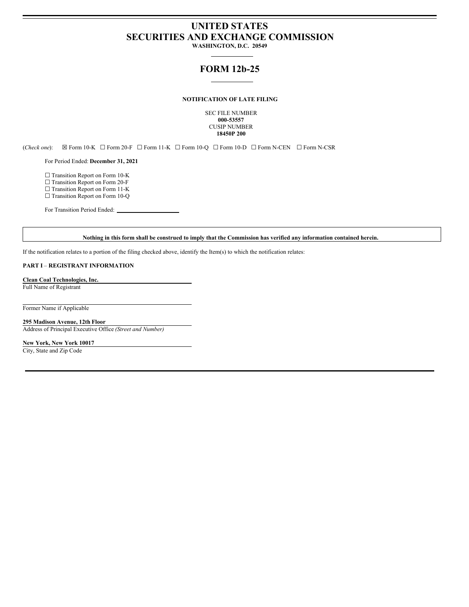# **UNITED STATES SECURITIES AND EXCHANGE COMMISSION**

**WASHINGTON, D.C. 20549**

## **FORM 12b-25**

## **NOTIFICATION OF LATE FILING**

SEC FILE NUMBER **000-53557** CUSIP NUMBER **18450P 200**

(*Check one*): ☒ Form 10-K ☐ Form 20-F ☐ Form 11-K ☐ Form 10-Q ☐ Form 10-D ☐ Form N-CEN ☐ Form N-CSR

For Period Ended: **December 31, 2021**

☐ Transition Report on Form 10-K

□ Transition Report on Form 20-F

□ Transition Report on Form 11-K

□ Transition Report on Form 10-Q

For Transition Period Ended:

## Nothing in this form shall be construed to imply that the Commission has verified any information contained herein.

If the notification relates to a portion of the filing checked above, identify the Item(s) to which the notification relates:

## **PART I** – **REGISTRANT INFORMATION**

**Clean Coal Technologies, Inc.** Full Name of Registrant

Former Name if Applicable

**295 Madison Avenue, 12th Floor** Address of Principal Executive Office *(Street and Number)*

**New York, New York 10017** City, State and Zip Code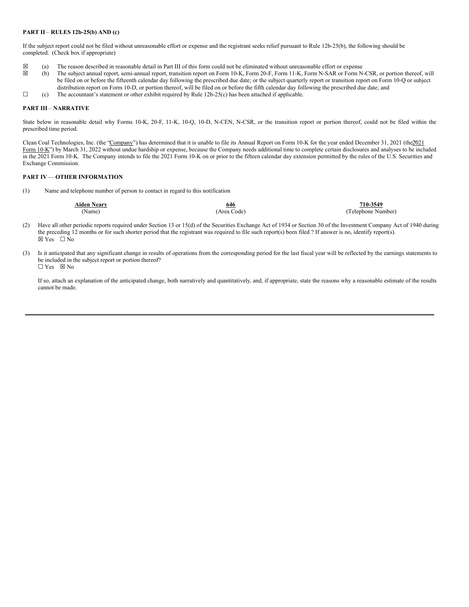## **PART II** – **RULES 12b-25(b) AND (c)**

If the subject report could not be filed without unreasonable effort or expense and the registrant seeks relief pursuant to Rule 12b-25(b), the following should be completed. (Check box if appropriate)

- $\boxtimes$  (a) The reason described in reasonable detail in Part III of this form could not be eliminated without unreasonable effort or expense (b) The subject annual report, semi-annual report, transition report on Form 10-K
- (b) The subject annual report, semi-annual report, transition report on Form 10-K, Form 20-F, Form 11-K, Form N-SAR or Form N-CSR, or portion thereof, will be filed on or before the fifteenth calendar day following the prescribed due date; or the subject quarterly report or transition report on Form 10-Q or subject distribution report on Form 10-D, or portion thereof, will be filed on or before the fifth calendar day following the prescribed due date; and
- $\Box$  (c) The accountant's statement or other exhibit required by Rule 12b-25(c) has been attached if applicable.

#### **PART III** – **NARRATIVE**

State below in reasonable detail why Forms 10-K, 20-F, 11-K, 10-Q, 10-D, N-CEN, N-CSR, or the transition report or portion thereof, could not be filed within the prescribed time period.

Clean Coal Technologies, Inc. (the "Company") has determined that it is unable to file its Annual Report on Form 10-K for the year ended December 31, 2021 (the 2021 Form 10-K") by March 31, 2022 without undue hardship or expense, because the Company needs additional time to complete certain disclosures and analyses to be included in the 2021 Form 10-K. The Company intends to file the 2021 Form 10-K on or prior to the fifteen calendar day extension permitted by the rules of the U.S. Securities and Exchange Commission.

## **PART IV**— **OTHER INFORMATION**

(1) Name and telephone number of person to contact in regard to this notification

| <b>Aiden Neary</b> | 646         | 710-3549           |
|--------------------|-------------|--------------------|
| (Name)             | (Area Code) | (Telephone Number) |

- (2) Have all other periodic reports required under Section 13 or 15(d) of the Securities Exchange Act of 1934 or Section 30 of the Investment Company Act of 1940 during the preceding 12 months or for such shorter period that the registrant was required to file such report(s) been filed ? If answer is no, identify report(s).  $\overline{\boxtimes Y}$  Yes  $\Box \overline{\text{No}}$
- (3) Is it anticipated that any significant change in results of operations from the corresponding period for the last fiscal year will be reflected by the earnings statements to be included in the subject report or portion thereof?  $\Box$  Yes  $\boxtimes$  No

If so, attach an explanation of the anticipated change, both narratively and quantitatively, and, if appropriate, state the reasons why a reasonable estimate of the results cannot be made.